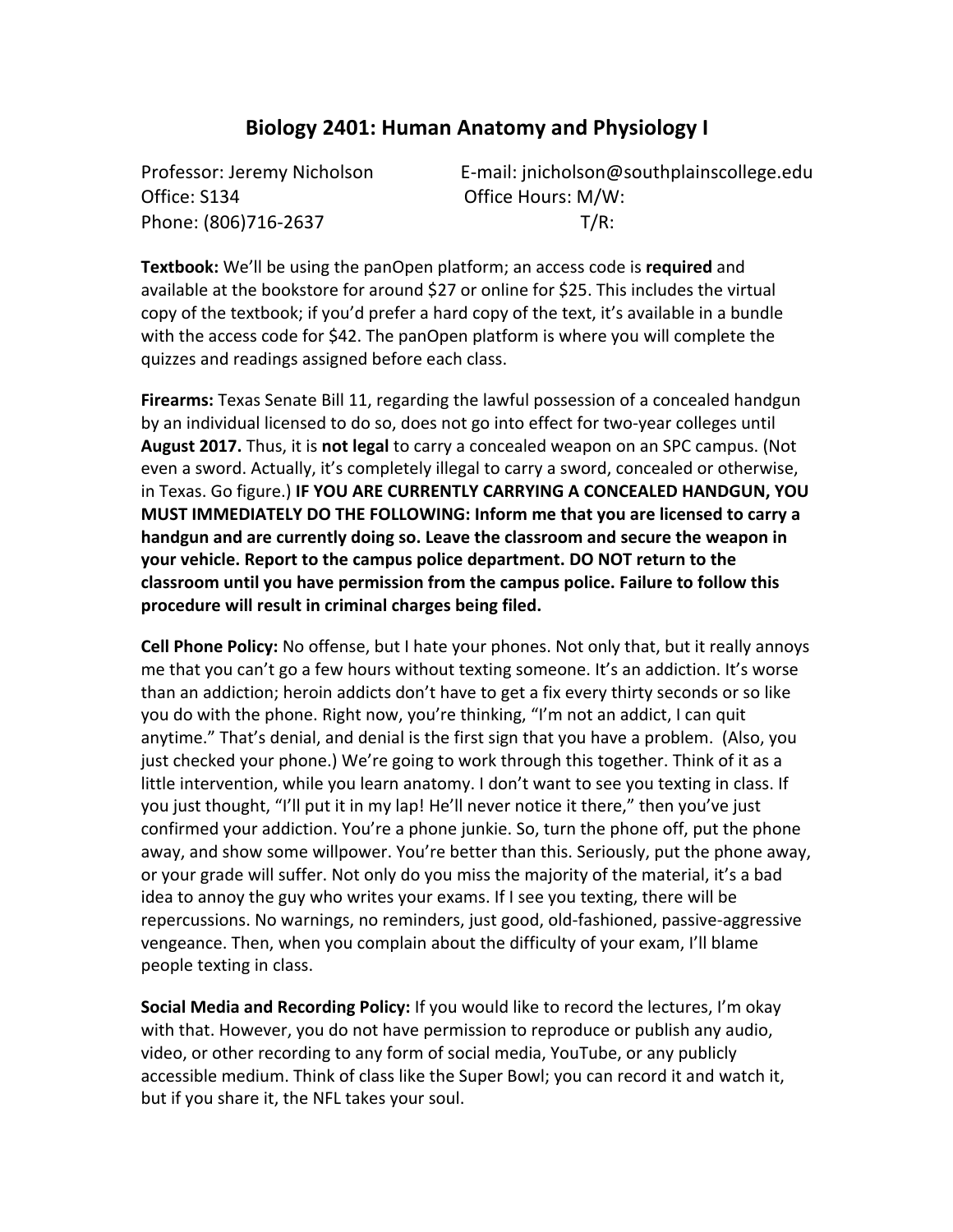### **Biology 2401: Human Anatomy and Physiology I**

Office: S134 **Office** Hours: M/W: Phone:  $(806)716-2637$  T/R:

Professor: Jeremy Nicholson **Belocate:** E-mail: jnicholson@southplainscollege.edu

**Textbook:** We'll be using the panOpen platform; an access code is **required** and available at the bookstore for around \$27 or online for \$25. This includes the virtual copy of the textbook; if you'd prefer a hard copy of the text, it's available in a bundle with the access code for \$42. The panOpen platform is where you will complete the quizzes and readings assigned before each class.

**Firearms:** Texas Senate Bill 11, regarding the lawful possession of a concealed handgun by an individual licensed to do so, does not go into effect for two-year colleges until **August 2017.** Thus, it is **not legal** to carry a concealed weapon on an SPC campus. (Not even a sword. Actually, it's completely illegal to carry a sword, concealed or otherwise, in Texas. Go figure.) IF YOU ARE CURRENTLY CARRYING A CONCEALED HANDGUN, YOU **MUST IMMEDIATELY DO THE FOLLOWING: Inform me that you are licensed to carry a** handgun and are currently doing so. Leave the classroom and secure the weapon in **your vehicle. Report to the campus police department. DO NOT return to the** classroom until you have permission from the campus police. Failure to follow this procedure will result in criminal charges being filed.

**Cell Phone Policy:** No offense, but I hate your phones. Not only that, but it really annoys me that you can't go a few hours without texting someone. It's an addiction. It's worse than an addiction; heroin addicts don't have to get a fix every thirty seconds or so like you do with the phone. Right now, you're thinking, "I'm not an addict, I can quit anytime." That's denial, and denial is the first sign that you have a problem. (Also, you just checked your phone.) We're going to work through this together. Think of it as a little intervention, while you learn anatomy. I don't want to see you texting in class. If you just thought, "I'll put it in my lap! He'll never notice it there," then you've just confirmed your addiction. You're a phone junkie. So, turn the phone off, put the phone away, and show some willpower. You're better than this. Seriously, put the phone away, or your grade will suffer. Not only do you miss the majority of the material, it's a bad idea to annoy the guy who writes your exams. If I see you texting, there will be repercussions. No warnings, no reminders, just good, old-fashioned, passive-aggressive vengeance. Then, when you complain about the difficulty of your exam, I'll blame people texting in class.

**Social Media and Recording Policy:** If you would like to record the lectures, I'm okay with that. However, you do not have permission to reproduce or publish any audio, video, or other recording to any form of social media, YouTube, or any publicly accessible medium. Think of class like the Super Bowl; you can record it and watch it, but if you share it, the NFL takes your soul.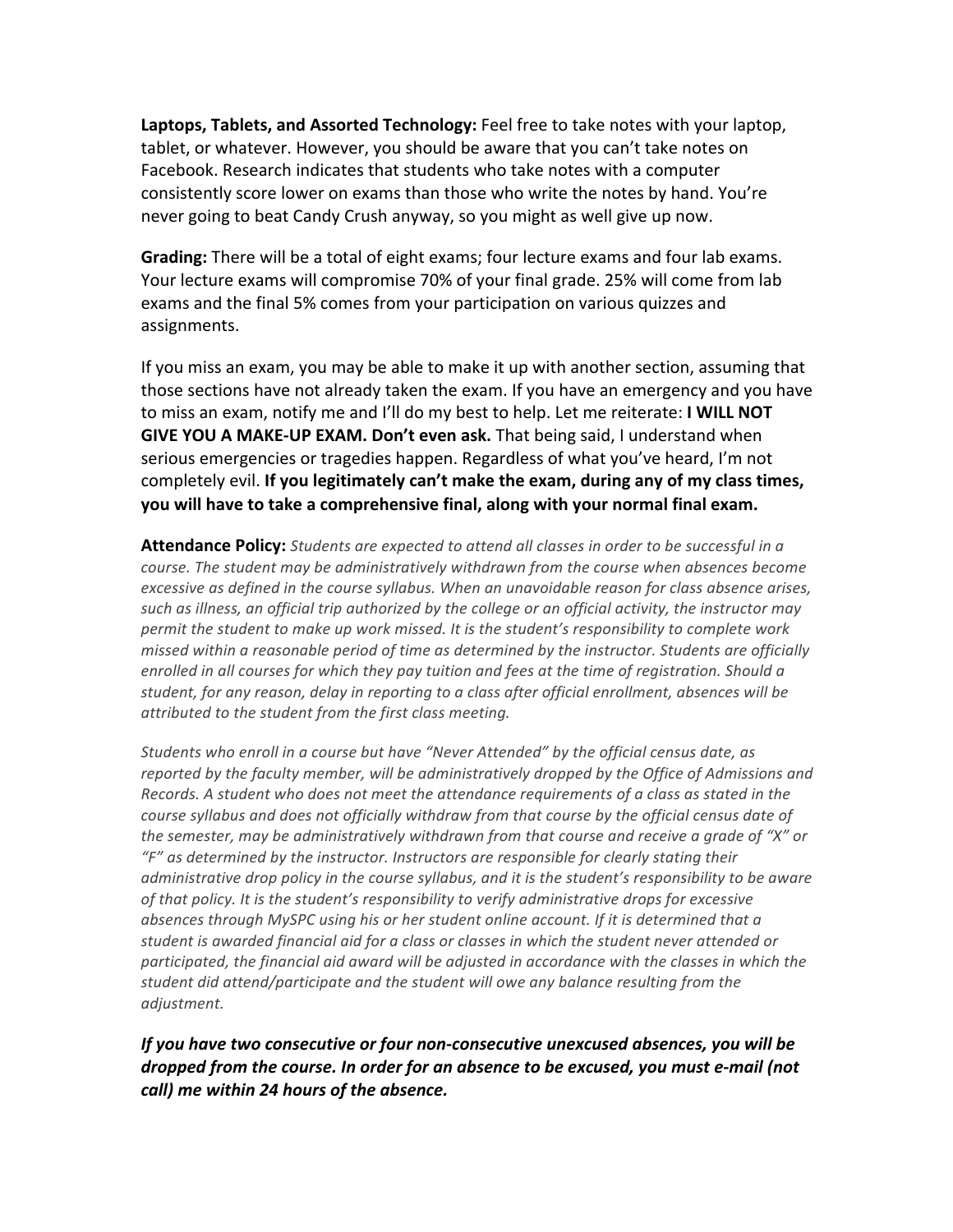Laptops, Tablets, and Assorted Technology: Feel free to take notes with your laptop, tablet, or whatever. However, you should be aware that you can't take notes on Facebook. Research indicates that students who take notes with a computer consistently score lower on exams than those who write the notes by hand. You're never going to beat Candy Crush anyway, so you might as well give up now.

**Grading:** There will be a total of eight exams; four lecture exams and four lab exams. Your lecture exams will compromise 70% of your final grade. 25% will come from lab exams and the final 5% comes from your participation on various quizzes and assignments.

If you miss an exam, you may be able to make it up with another section, assuming that those sections have not already taken the exam. If you have an emergency and you have to miss an exam, notify me and I'll do my best to help. Let me reiterate: **I WILL NOT GIVE YOU A MAKE-UP EXAM. Don't even ask.** That being said, I understand when serious emergencies or tragedies happen. Regardless of what you've heard, I'm not completely evil. If you legitimately can't make the exam, during any of my class times, you will have to take a comprehensive final, along with your normal final exam.

**Attendance Policy:** Students are expected to attend all classes in order to be successful in a *course.* The student may be administratively withdrawn from the course when absences become *excessive as defined in the course syllabus. When an unavoidable reason for class absence arises,* such as illness, an official trip authorized by the college or an official activity, the instructor may *permit the student to make up work missed. It is the student's responsibility to complete work missed within a reasonable period of time as determined by the instructor. Students are officially* enrolled in all courses for which they pay tuition and fees at the time of registration. Should a student, for any reason, delay in reporting to a class after official enrollment, absences will be *attributed to the student from the first class meeting.*

Students who enroll in a course but have "Never Attended" by the official census date, as reported by the faculty member, will be administratively dropped by the Office of Admissions and *Records.* A student who does not meet the attendance requirements of a class as stated in the *course syllabus and does not officially withdraw from that course by the official census date of* the semester, may be administratively withdrawn from that course and receive a grade of "X" or "F" as determined by the instructor. Instructors are responsible for clearly stating their *administrative drop policy in the course syllabus, and it is the student's responsibility to be aware* of that policy. It is the student's responsibility to verify administrative drops for excessive absences through MySPC using his or her student online account. If it is determined that a student is awarded financial aid for a class or classes in which the student never attended or participated, the financial aid award will be adjusted in accordance with the classes in which the student did attend/participate and the student will owe any balance resulting from the *adjustment.*

*If* you have two consecutive or four non-consecutive unexcused absences, you will be *dropped from the course. In order for an absence to be excused, you must e-mail (not call*) me within 24 hours of the absence.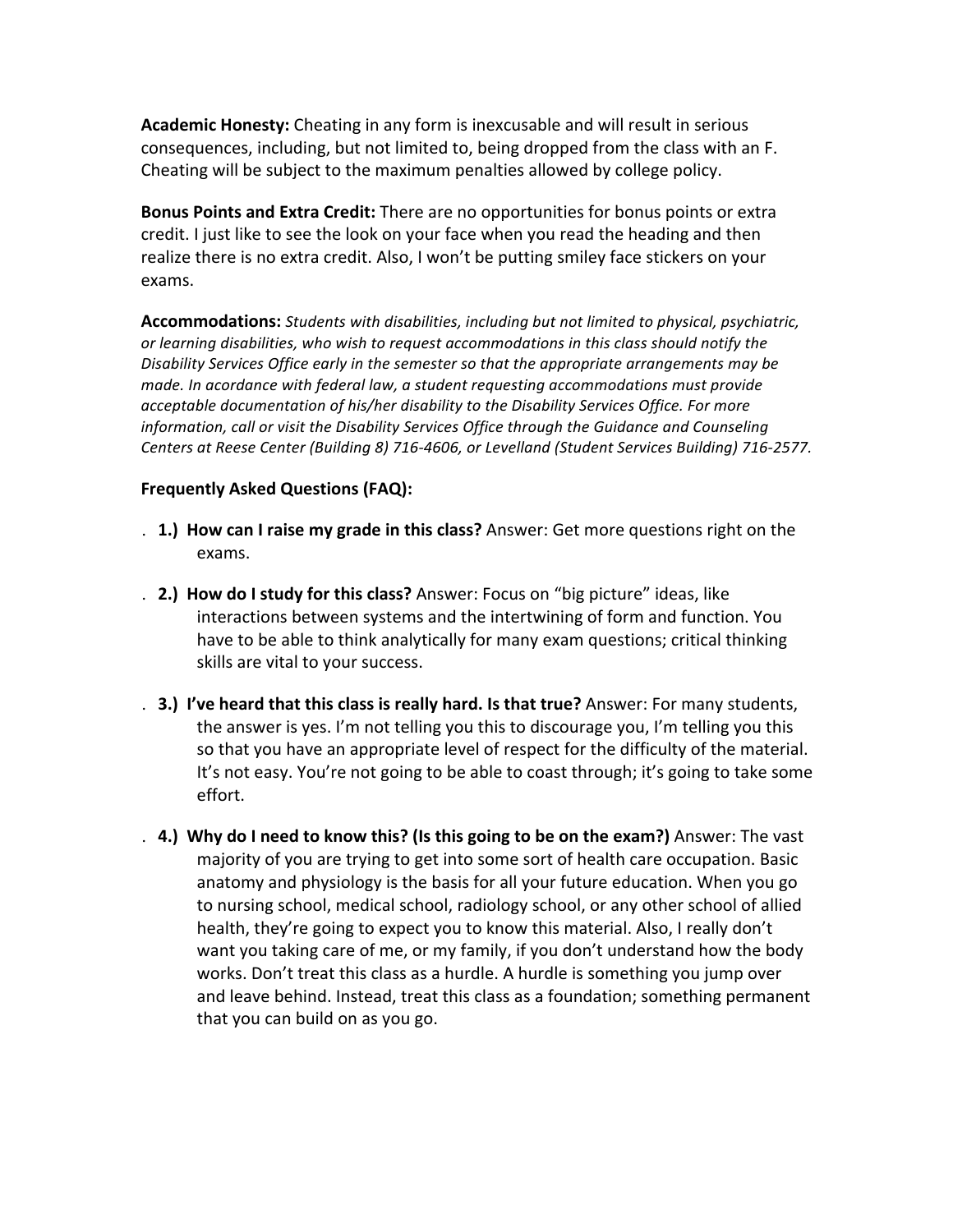**Academic Honesty:** Cheating in any form is inexcusable and will result in serious consequences, including, but not limited to, being dropped from the class with an F. Cheating will be subject to the maximum penalties allowed by college policy.

**Bonus Points and Extra Credit:** There are no opportunities for bonus points or extra credit. I just like to see the look on your face when you read the heading and then realize there is no extra credit. Also, I won't be putting smiley face stickers on your exams.

**Accommodations:** Students with disabilities, including but not limited to physical, psychiatric, or learning disabilities, who wish to request accommodations in this class should notify the *Disability Services Office early in the semester so that the appropriate arrangements may be made. In acordance with federal law, a student requesting accommodations must provide* acceptable documentation of his/her disability to the Disability Services Office. For more *information, call or visit the Disability Services Office through the Guidance and Counseling* Centers at Reese Center (Building 8) 716-4606, or Levelland (Student Services Building) 716-2577.

#### **Frequently Asked Questions (FAQ):**

- **1. 1.) How can I raise my grade in this class?** Answer: Get more questions right on the exams.
- . **2.) How do I study for this class?** Answer: Focus on "big picture" ideas, like interactions between systems and the intertwining of form and function. You have to be able to think analytically for many exam questions; critical thinking skills are vital to your success.
- . **3.)** I've heard that this class is really hard. Is that true? Answer: For many students, the answer is yes. I'm not telling you this to discourage you, I'm telling you this so that you have an appropriate level of respect for the difficulty of the material. It's not easy. You're not going to be able to coast through; it's going to take some effort.
- **4.) Why do I need to know this? (Is this going to be on the exam?)** Answer: The vast majority of you are trying to get into some sort of health care occupation. Basic anatomy and physiology is the basis for all your future education. When you go to nursing school, medical school, radiology school, or any other school of allied health, they're going to expect you to know this material. Also, I really don't want you taking care of me, or my family, if you don't understand how the body works. Don't treat this class as a hurdle. A hurdle is something you jump over and leave behind. Instead, treat this class as a foundation; something permanent that you can build on as you go.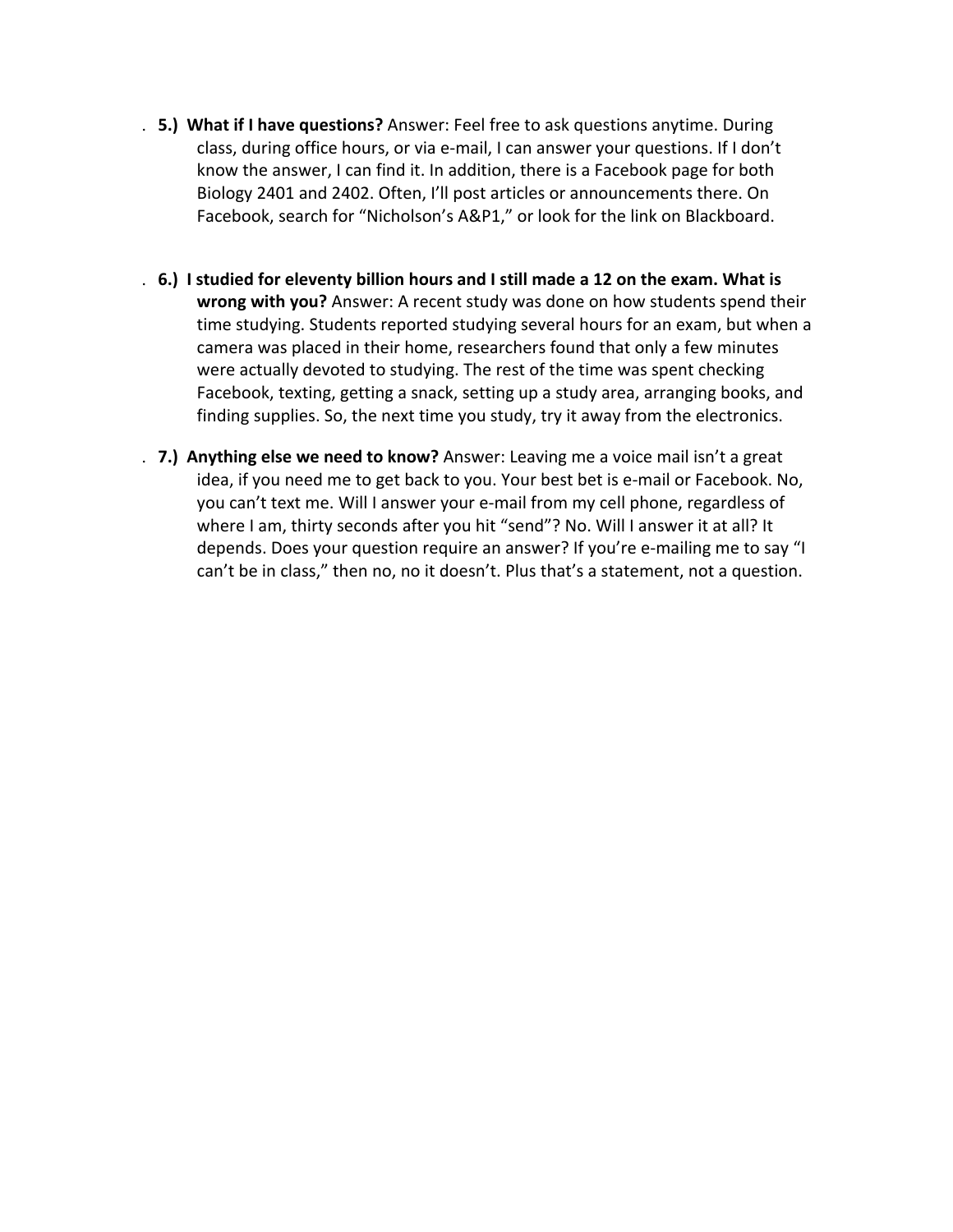- **5.) What if I have questions?** Answer: Feel free to ask questions anytime. During class, during office hours, or via e-mail, I can answer your questions. If I don't know the answer, I can find it. In addition, there is a Facebook page for both Biology 2401 and 2402. Often, I'll post articles or announcements there. On Facebook, search for "Nicholson's A&P1," or look for the link on Blackboard.
- . **6.)** I studied for eleventy billion hours and I still made a 12 on the exam. What is **wrong with you?** Answer: A recent study was done on how students spend their time studying. Students reported studying several hours for an exam, but when a camera was placed in their home, researchers found that only a few minutes were actually devoted to studying. The rest of the time was spent checking Facebook, texting, getting a snack, setting up a study area, arranging books, and finding supplies. So, the next time you study, try it away from the electronics.
- . **7.) Anything else we need to know?** Answer: Leaving me a voice mail isn't a great idea, if you need me to get back to you. Your best bet is e-mail or Facebook. No, you can't text me. Will I answer your e-mail from my cell phone, regardless of where I am, thirty seconds after you hit "send"? No. Will I answer it at all? It depends. Does your question require an answer? If you're e-mailing me to say "I can't be in class," then no, no it doesn't. Plus that's a statement, not a question.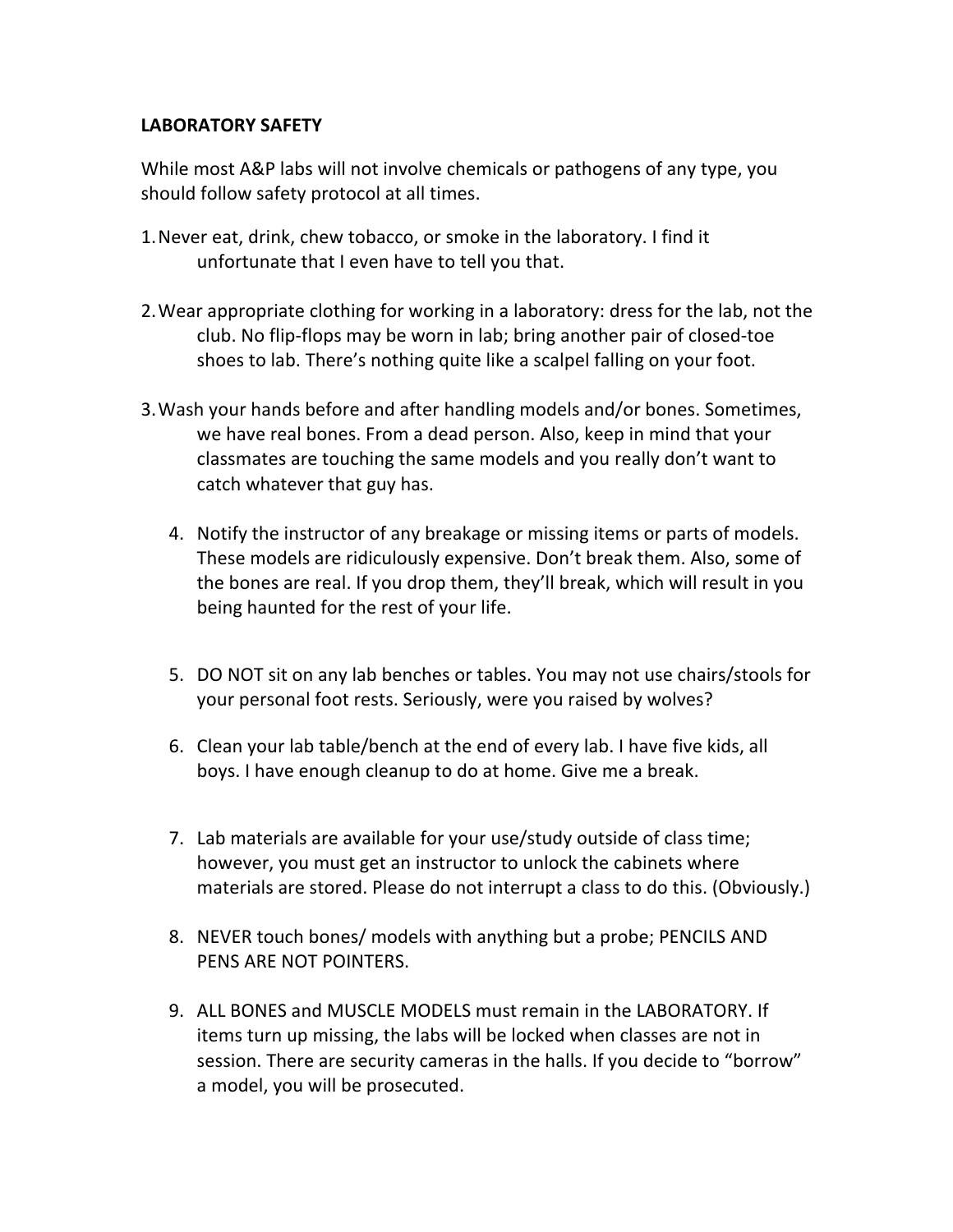### **LABORATORY SAFETY**

While most A&P labs will not involve chemicals or pathogens of any type, you should follow safety protocol at all times.

- 1. Never eat, drink, chew tobacco, or smoke in the laboratory. I find it unfortunate that I even have to tell you that.
- 2. Wear appropriate clothing for working in a laboratory: dress for the lab, not the club. No flip-flops may be worn in lab; bring another pair of closed-toe shoes to lab. There's nothing quite like a scalpel falling on your foot.
- 3. Wash your hands before and after handling models and/or bones. Sometimes, we have real bones. From a dead person. Also, keep in mind that your classmates are touching the same models and you really don't want to catch whatever that guy has.
	- 4. Notify the instructor of any breakage or missing items or parts of models. These models are ridiculously expensive. Don't break them. Also, some of the bones are real. If you drop them, they'll break, which will result in you being haunted for the rest of your life.
	- 5. DO NOT sit on any lab benches or tables. You may not use chairs/stools for your personal foot rests. Seriously, were you raised by wolves?
	- 6. Clean your lab table/bench at the end of every lab. I have five kids, all boys. I have enough cleanup to do at home. Give me a break.
	- 7. Lab materials are available for your use/study outside of class time; however, you must get an instructor to unlock the cabinets where materials are stored. Please do not interrupt a class to do this. (Obviously.)
	- 8. NEVER touch bones/ models with anything but a probe; PENCILS AND PENS ARE NOT POINTERS.
	- 9. ALL BONES and MUSCLE MODELS must remain in the LABORATORY. If items turn up missing, the labs will be locked when classes are not in session. There are security cameras in the halls. If you decide to "borrow" a model, you will be prosecuted.